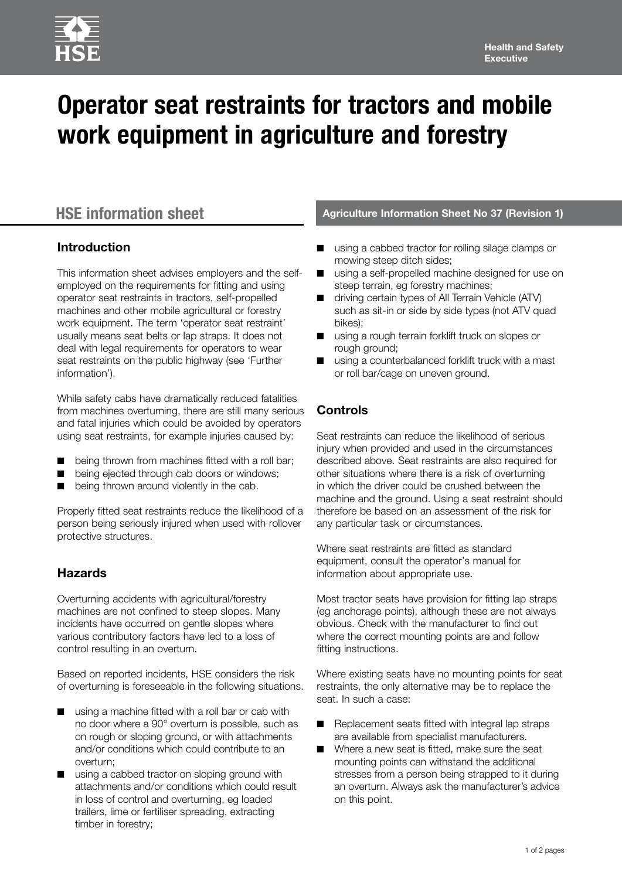# **Operator seat restraints for tractors and mobile work equipment in agriculture and forestry**

### **Introduction**

This information sheet advises employers and the selfemployed on the requirements for fitting and using operator seat restraints in tractors, self-propelled machines and other mobile agricultural or forestry work equipment. The term 'operator seat restraint' usually means seat belts or lap straps. It does not deal with legal requirements for operators to wear seat restraints on the public highway (see 'Further information').

While safety cabs have dramatically reduced fatalities from machines overturning, there are still many serious and fatal injuries which could be avoided by operators using seat restraints, for example injuries caused by:

- being thrown from machines fitted with a roll bar;
- being ejected through cab doors or windows;
- being thrown around violently in the cab.

Properly fitted seat restraints reduce the likelihood of a person being seriously injured when used with rollover protective structures.

# **Hazards**

Overturning accidents with agricultural/forestry machines are not confined to steep slopes. Many incidents have occurred on gentle slopes where various contributory factors have led to a loss of control resulting in an overturn.

Based on reported incidents, HSE considers the risk of overturning is foreseeable in the following situations.

- using a machine fitted with a roll bar or cab with no door where a 90° overturn is possible, such as on rough or sloping ground, or with attachments and/or conditions which could contribute to an overturn;
- using a cabbed tractor on sloping ground with attachments and/or conditions which could result in loss of control and overturning, eg loaded trailers, lime or fertiliser spreading, extracting timber in forestry;

### **HSE information sheet Agriculture Information Sheet No 37 (Revision 1)**

- using a cabbed tractor for rolling silage clamps or mowing steep ditch sides;
- using a self-propelled machine designed for use on steep terrain, eg forestry machines;
- driving certain types of All Terrain Vehicle (ATV) such as sit-in or side by side types (not ATV quad bikes);
- using a rough terrain forklift truck on slopes or rough ground;
- using a counterbalanced forklift truck with a mast or roll bar/cage on uneven ground.

# **Controls**

Seat restraints can reduce the likelihood of serious injury when provided and used in the circumstances described above. Seat restraints are also required for other situations where there is a risk of overturning in which the driver could be crushed between the machine and the ground. Using a seat restraint should therefore be based on an assessment of the risk for any particular task or circumstances.

Where seat restraints are fitted as standard equipment, consult the operator's manual for information about appropriate use.

Most tractor seats have provision for fitting lap straps (eg anchorage points), although these are not always obvious. Check with the manufacturer to find out where the correct mounting points are and follow fitting instructions.

Where existing seats have no mounting points for seat restraints, the only alternative may be to replace the seat. In such a case:

- Replacement seats fitted with integral lap straps are available from specialist manufacturers.
- Where a new seat is fitted, make sure the seat mounting points can withstand the additional stresses from a person being strapped to it during an overturn. Always ask the manufacturer's advice on this point.